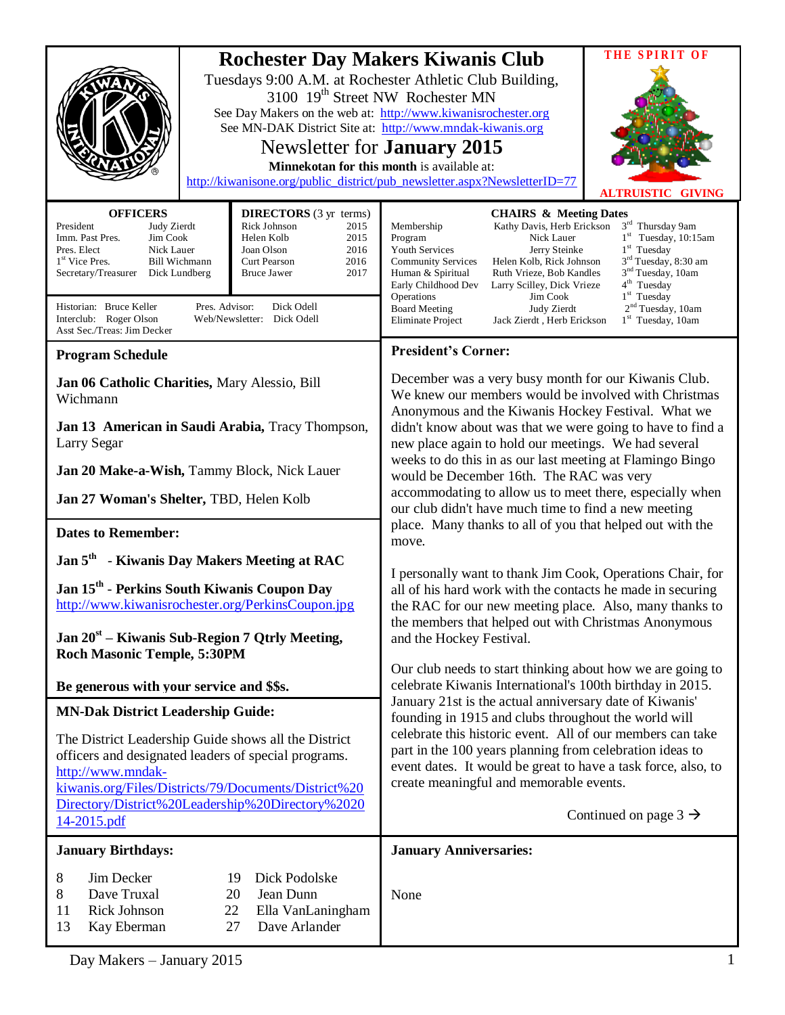|                                                                                                                                                                                           |                                                                                                                 | <b>Rochester Day Makers Kiwanis Club</b><br>Tuesdays 9:00 A.M. at Rochester Athletic Club Building,<br>3100 19 <sup>th</sup> Street NW Rochester MN<br>See Day Makers on the web at: http://www.kiwanisrochester.org<br>See MN-DAK District Site at: http://www.mndak-kiwanis.org<br>Newsletter for <b>January</b> 2015<br>Minnekotan for this month is available at:<br>http://kiwanisone.org/public_district/pub_newsletter.aspx?NewsletterID=77                                                                                                                                          | THE SPIRIT OF<br><b>ALTRUISTIC GIVING</b> |
|-------------------------------------------------------------------------------------------------------------------------------------------------------------------------------------------|-----------------------------------------------------------------------------------------------------------------|---------------------------------------------------------------------------------------------------------------------------------------------------------------------------------------------------------------------------------------------------------------------------------------------------------------------------------------------------------------------------------------------------------------------------------------------------------------------------------------------------------------------------------------------------------------------------------------------|-------------------------------------------|
| <b>OFFICERS</b>                                                                                                                                                                           | <b>DIRECTORS</b> (3 yr terms)                                                                                   |                                                                                                                                                                                                                                                                                                                                                                                                                                                                                                                                                                                             |                                           |
| President<br>Judy Zierdt<br>Imm. Past Pres.<br>Jim Cook<br>Pres. Elect<br>Nick Lauer<br>1 <sup>st</sup> Vice Pres.<br><b>Bill Wichmann</b><br>Secretary/Treasurer<br>Dick Lundberg        | Rick Johnson<br>2015<br>Helen Kolb<br>2015<br>2016<br>Joan Olson<br>Curt Pearson<br>2016<br>2017<br>Bruce Jawer | <b>CHAIRS &amp; Meeting Dates</b><br>$3^{\rm rd}$ Thursday 9am<br>Kathy Davis, Herb Erickson<br>Membership<br>$1st$ Tuesday, 10:15am<br>Nick Lauer<br>Program<br>$1st$ Tuesday<br>Youth Services<br>Jerry Steinke<br>3 <sup>rd</sup> Tuesday, 8:30 am<br><b>Community Services</b><br>Helen Kolb, Rick Johnson<br>3 <sup>nd</sup> Tuesday, 10am<br>Ruth Vrieze, Bob Kandles<br>Human & Spiritual<br>4 <sup>th</sup> Tuesday<br>Early Childhood Dev<br>Larry Scilley, Dick Vrieze<br>$1st$ Tuesday<br>Operations<br>Jim Cook                                                                 |                                           |
| Historian: Bruce Keller<br>Pres. Advisor:<br>Dick Odell<br>Interclub: Roger Olson<br>Web/Newsletter: Dick Odell<br>Asst Sec./Treas: Jim Decker                                            |                                                                                                                 | 2 <sup>nd</sup> Tuesday, 10am<br><b>Board Meeting</b><br>Judy Zierdt<br>$1st$ Tuesday, 10am<br>Eliminate Project<br>Jack Zierdt, Herb Erickson                                                                                                                                                                                                                                                                                                                                                                                                                                              |                                           |
| <b>Program Schedule</b>                                                                                                                                                                   |                                                                                                                 | <b>President's Corner:</b>                                                                                                                                                                                                                                                                                                                                                                                                                                                                                                                                                                  |                                           |
| Jan 06 Catholic Charities, Mary Alessio, Bill<br>Wichmann                                                                                                                                 |                                                                                                                 | December was a very busy month for our Kiwanis Club.<br>We knew our members would be involved with Christmas<br>Anonymous and the Kiwanis Hockey Festival. What we<br>didn't know about was that we were going to have to find a<br>new place again to hold our meetings. We had several<br>weeks to do this in as our last meeting at Flamingo Bingo<br>would be December 16th. The RAC was very<br>accommodating to allow us to meet there, especially when<br>our club didn't have much time to find a new meeting<br>place. Many thanks to all of you that helped out with the<br>move. |                                           |
| Jan 13 American in Saudi Arabia, Tracy Thompson,<br>Larry Segar                                                                                                                           |                                                                                                                 |                                                                                                                                                                                                                                                                                                                                                                                                                                                                                                                                                                                             |                                           |
| Jan 20 Make-a-Wish, Tammy Block, Nick Lauer                                                                                                                                               |                                                                                                                 |                                                                                                                                                                                                                                                                                                                                                                                                                                                                                                                                                                                             |                                           |
| Jan 27 Woman's Shelter, TBD, Helen Kolb                                                                                                                                                   |                                                                                                                 |                                                                                                                                                                                                                                                                                                                                                                                                                                                                                                                                                                                             |                                           |
| <b>Dates to Remember:</b>                                                                                                                                                                 |                                                                                                                 |                                                                                                                                                                                                                                                                                                                                                                                                                                                                                                                                                                                             |                                           |
| Jan 5 <sup>th</sup> - Kiwanis Day Makers Meeting at RAC                                                                                                                                   |                                                                                                                 | I personally want to thank Jim Cook, Operations Chair, for<br>all of his hard work with the contacts he made in securing<br>the RAC for our new meeting place. Also, many thanks to                                                                                                                                                                                                                                                                                                                                                                                                         |                                           |
| Jan 15 <sup>th</sup> - Perkins South Kiwanis Coupon Day<br>http://www.kiwanisrochester.org/PerkinsCoupon.jpg                                                                              |                                                                                                                 |                                                                                                                                                                                                                                                                                                                                                                                                                                                                                                                                                                                             |                                           |
| <b>Jan 20<sup>st</sup></b> – Kiwanis Sub-Region 7 Qtrly Meeting,<br><b>Roch Masonic Temple, 5:30PM</b>                                                                                    |                                                                                                                 | the members that helped out with Christmas Anonymous<br>and the Hockey Festival.                                                                                                                                                                                                                                                                                                                                                                                                                                                                                                            |                                           |
| Be generous with your service and \$\$s.                                                                                                                                                  |                                                                                                                 | Our club needs to start thinking about how we are going to<br>celebrate Kiwanis International's 100th birthday in 2015.                                                                                                                                                                                                                                                                                                                                                                                                                                                                     |                                           |
| <b>MN-Dak District Leadership Guide:</b>                                                                                                                                                  |                                                                                                                 | January 21st is the actual anniversary date of Kiwanis'<br>founding in 1915 and clubs throughout the world will                                                                                                                                                                                                                                                                                                                                                                                                                                                                             |                                           |
| The District Leadership Guide shows all the District<br>officers and designated leaders of special programs.<br>http://www.mndak-<br>kiwanis.org/Files/Districts/79/Documents/District%20 |                                                                                                                 | celebrate this historic event. All of our members can take<br>part in the 100 years planning from celebration ideas to<br>event dates. It would be great to have a task force, also, to<br>create meaningful and memorable events.                                                                                                                                                                                                                                                                                                                                                          |                                           |
| Directory/District%20Leadership%20Directory%2020<br>14-2015.pdf                                                                                                                           |                                                                                                                 |                                                                                                                                                                                                                                                                                                                                                                                                                                                                                                                                                                                             | Continued on page $3 \rightarrow$         |
| <b>January Birthdays:</b>                                                                                                                                                                 |                                                                                                                 | <b>January Anniversaries:</b>                                                                                                                                                                                                                                                                                                                                                                                                                                                                                                                                                               |                                           |
| 8<br>Jim Decker<br>8<br>Dave Truxal<br>Rick Johnson<br>11<br>13<br>Kay Eberman                                                                                                            | Dick Podolske<br>19<br>20<br>Jean Dunn<br>22<br>Ella VanLaningham<br>Dave Arlander<br>27                        | None                                                                                                                                                                                                                                                                                                                                                                                                                                                                                                                                                                                        |                                           |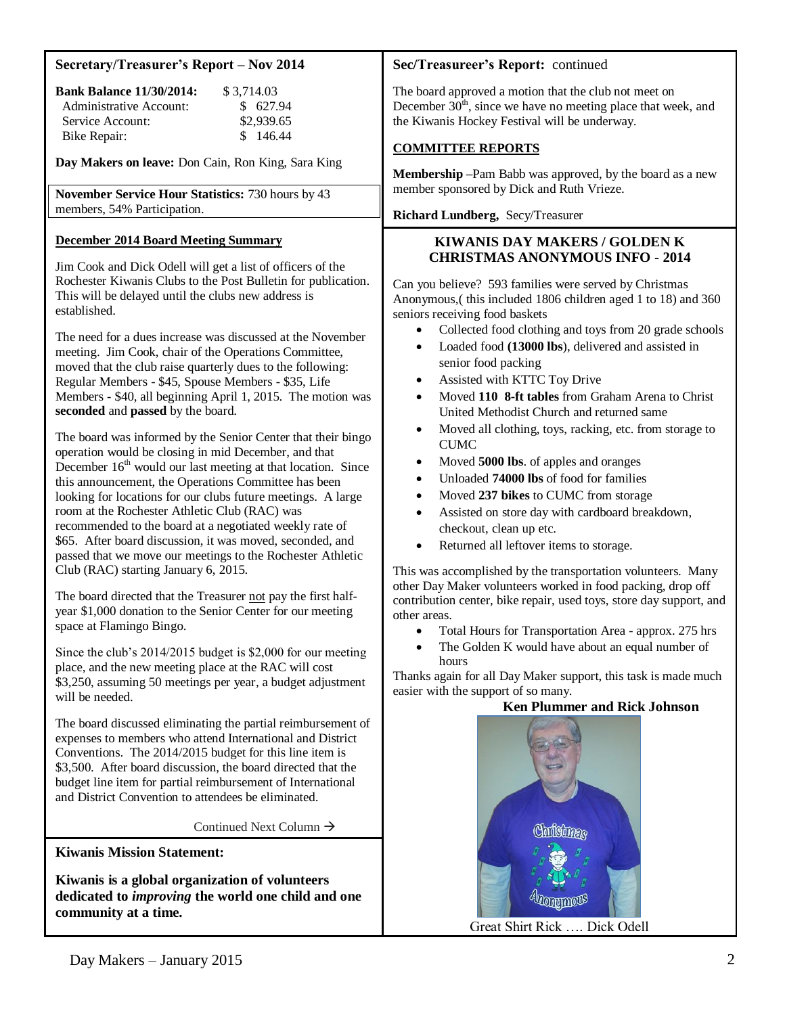### **Secretary/Treasurer's Report – Nov 2014**

| <b>Bank Balance 11/30/2014:</b> | \$3.714.03 |
|---------------------------------|------------|
| Administrative Account:         | \$ 627.94  |
| Service Account:                | \$2,939.65 |
| Bike Repair:                    | \$146.44   |

**Day Makers on leave:** Don Cain, Ron King, Sara King

**November Service Hour Statistics:** 730 hours by 43 members, 54% Participation.

### **December 2014 Board Meeting Summary**

Jim Cook and Dick Odell will get a list of officers of the Rochester Kiwanis Clubs to the Post Bulletin for publication. This will be delayed until the clubs new address is established.

The need for a dues increase was discussed at the November meeting. Jim Cook, chair of the Operations Committee, moved that the club raise quarterly dues to the following: Regular Members - \$45, Spouse Members - \$35, Life Members - \$40, all beginning April 1, 2015. The motion was **seconded** and **passed** by the board.

The board was informed by the Senior Center that their bingo operation would be closing in mid December, and that December  $16<sup>th</sup>$  would our last meeting at that location. Since this announcement, the Operations Committee has been looking for locations for our clubs future meetings. A large room at the Rochester Athletic Club (RAC) was recommended to the board at a negotiated weekly rate of \$65. After board discussion, it was moved, seconded, and passed that we move our meetings to the Rochester Athletic Club (RAC) starting January 6, 2015.

The board directed that the Treasurer not pay the first halfyear \$1,000 donation to the Senior Center for our meeting space at Flamingo Bingo.

Since the club's 2014/2015 budget is \$2,000 for our meeting place, and the new meeting place at the RAC will cost \$3,250, assuming 50 meetings per year, a budget adjustment will be needed.

The board discussed eliminating the partial reimbursement of expenses to members who attend International and District Conventions. The 2014/2015 budget for this line item is \$3,500. After board discussion, the board directed that the budget line item for partial reimbursement of International and District Convention to attendees be eliminated.

Continued Next Column  $\rightarrow$ 

**Kiwanis Mission Statement:**

**Kiwanis is a global organization of volunteers dedicated to** *improving* **the world one child and one community at a time.**

#### **Sec/Treasureer's Report:** continued

The board approved a motion that the club not meet on December  $30<sup>th</sup>$ , since we have no meeting place that week, and the Kiwanis Hockey Festival will be underway.

#### **COMMITTEE REPORTS**

**Membership –**Pam Babb was approved, by the board as a new member sponsored by Dick and Ruth Vrieze.

**Richard Lundberg,** Secy/Treasurer

#### **KIWANIS DAY MAKERS / GOLDEN K CHRISTMAS ANONYMOUS INFO - 2014**

Can you believe? 593 families were served by Christmas Anonymous,( this included 1806 children aged 1 to 18) and 360 seniors receiving food baskets

- Collected food clothing and toys from 20 grade schools
- Loaded food **(13000 lbs**), delivered and assisted in senior food packing
- Assisted with KTTC Toy Drive
- Moved **110 8-ft tables** from Graham Arena to Christ United Methodist Church and returned same
- Moved all clothing, toys, racking, etc. from storage to **CUMC**
- Moved **5000 lbs**. of apples and oranges
- Unloaded **74000 lbs** of food for families
- Moved **237 bikes** to CUMC from storage
- Assisted on store day with cardboard breakdown, checkout, clean up etc.
- Returned all leftover items to storage.

This was accomplished by the transportation volunteers. Many other Day Maker volunteers worked in food packing, drop off contribution center, bike repair, used toys, store day support, and other areas.

- Total Hours for Transportation Area approx. 275 hrs
- The Golden K would have about an equal number of hours

Thanks again for all Day Maker support, this task is made much easier with the support of so many.

#### **Ken Plummer and Rick Johnson**

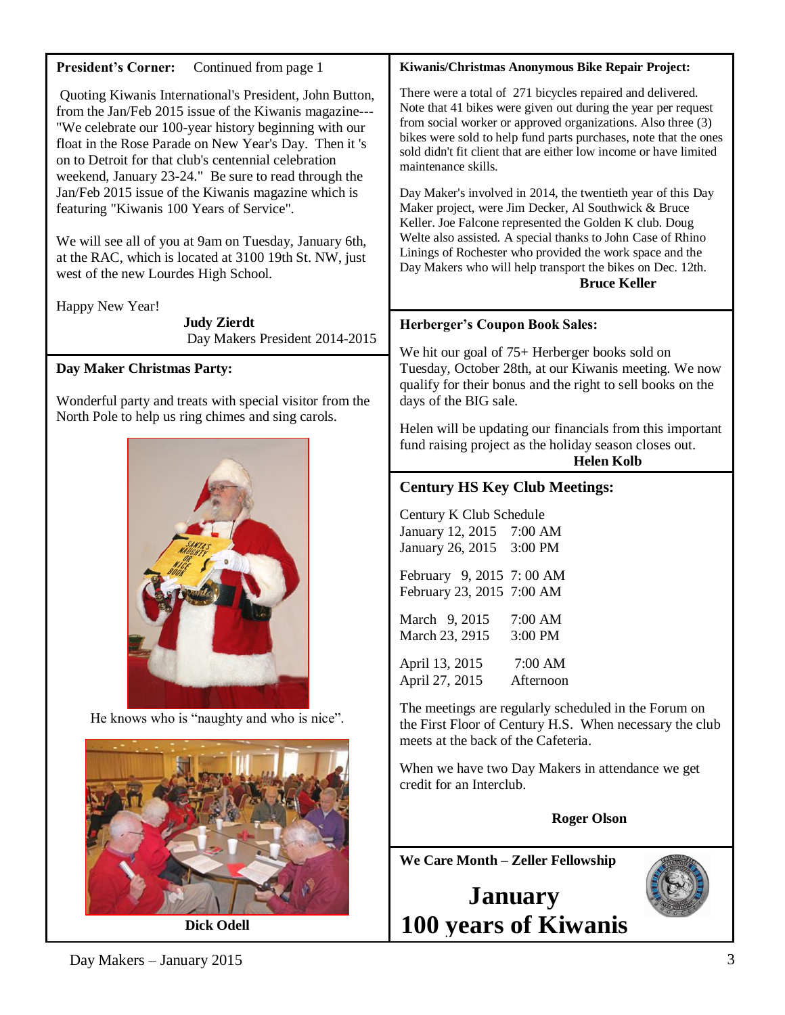| Continued from page 1<br><b>President's Corner:</b>                                                                                                                                                                                                                                                                                                                                                         | Kiwanis/Christmas Anonymous Bike Repair Project:                                                                                                                                                                                                                                                                                                                                                                            |  |
|-------------------------------------------------------------------------------------------------------------------------------------------------------------------------------------------------------------------------------------------------------------------------------------------------------------------------------------------------------------------------------------------------------------|-----------------------------------------------------------------------------------------------------------------------------------------------------------------------------------------------------------------------------------------------------------------------------------------------------------------------------------------------------------------------------------------------------------------------------|--|
| Quoting Kiwanis International's President, John Button,<br>from the Jan/Feb 2015 issue of the Kiwanis magazine---<br>"We celebrate our 100-year history beginning with our<br>float in the Rose Parade on New Year's Day. Then it 's<br>on to Detroit for that club's centennial celebration<br>weekend, January 23-24." Be sure to read through the<br>Jan/Feb 2015 issue of the Kiwanis magazine which is | There were a total of 271 bicycles repaired and delivered.<br>Note that 41 bikes were given out during the year per request<br>from social worker or approved organizations. Also three (3)<br>bikes were sold to help fund parts purchases, note that the ones<br>sold didn't fit client that are either low income or have limited<br>maintenance skills.<br>Day Maker's involved in 2014, the twentieth year of this Day |  |
| featuring "Kiwanis 100 Years of Service".<br>We will see all of you at 9am on Tuesday, January 6th,<br>at the RAC, which is located at 3100 19th St. NW, just<br>west of the new Lourdes High School.                                                                                                                                                                                                       | Maker project, were Jim Decker, Al Southwick & Bruce<br>Keller. Joe Falcone represented the Golden K club. Doug<br>Welte also assisted. A special thanks to John Case of Rhino<br>Linings of Rochester who provided the work space and the<br>Day Makers who will help transport the bikes on Dec. 12th.<br><b>Bruce Keller</b>                                                                                             |  |
| Happy New Year!                                                                                                                                                                                                                                                                                                                                                                                             |                                                                                                                                                                                                                                                                                                                                                                                                                             |  |
| <b>Judy Zierdt</b><br>Day Makers President 2014-2015                                                                                                                                                                                                                                                                                                                                                        | <b>Herberger's Coupon Book Sales:</b>                                                                                                                                                                                                                                                                                                                                                                                       |  |
| Day Maker Christmas Party:                                                                                                                                                                                                                                                                                                                                                                                  | We hit our goal of 75+ Herberger books sold on<br>Tuesday, October 28th, at our Kiwanis meeting. We now<br>qualify for their bonus and the right to sell books on the<br>days of the BIG sale.<br>Helen will be updating our financials from this important<br>fund raising project as the holiday season closes out.<br><b>Helen Kolb</b>                                                                                  |  |
| Wonderful party and treats with special visitor from the<br>North Pole to help us ring chimes and sing carols.                                                                                                                                                                                                                                                                                              |                                                                                                                                                                                                                                                                                                                                                                                                                             |  |
|                                                                                                                                                                                                                                                                                                                                                                                                             |                                                                                                                                                                                                                                                                                                                                                                                                                             |  |
|                                                                                                                                                                                                                                                                                                                                                                                                             | <b>Century HS Key Club Meetings:</b>                                                                                                                                                                                                                                                                                                                                                                                        |  |
|                                                                                                                                                                                                                                                                                                                                                                                                             | Century K Club Schedule<br>January 12, 2015 7:00 AM<br>January 26, 2015<br>3:00 PM<br>February 9, 2015 7:00 AM<br>February 23, 2015 7:00 AM<br>March 9, 2015<br>7:00 AM<br>March 23, 2915<br>$3:00$ PM                                                                                                                                                                                                                      |  |
|                                                                                                                                                                                                                                                                                                                                                                                                             |                                                                                                                                                                                                                                                                                                                                                                                                                             |  |
|                                                                                                                                                                                                                                                                                                                                                                                                             |                                                                                                                                                                                                                                                                                                                                                                                                                             |  |
|                                                                                                                                                                                                                                                                                                                                                                                                             |                                                                                                                                                                                                                                                                                                                                                                                                                             |  |
|                                                                                                                                                                                                                                                                                                                                                                                                             | 7:00 AM<br>April 13, 2015<br>April 27, 2015<br>Afternoon                                                                                                                                                                                                                                                                                                                                                                    |  |
| He knows who is "naughty and who is nice".                                                                                                                                                                                                                                                                                                                                                                  | The meetings are regularly scheduled in the Forum on<br>the First Floor of Century H.S. When necessary the club<br>meets at the back of the Cafeteria.                                                                                                                                                                                                                                                                      |  |
|                                                                                                                                                                                                                                                                                                                                                                                                             | When we have two Day Makers in attendance we get<br>credit for an Interclub.                                                                                                                                                                                                                                                                                                                                                |  |
|                                                                                                                                                                                                                                                                                                                                                                                                             | <b>Roger Olson</b>                                                                                                                                                                                                                                                                                                                                                                                                          |  |
|                                                                                                                                                                                                                                                                                                                                                                                                             | We Care Month - Zeller Fellowship                                                                                                                                                                                                                                                                                                                                                                                           |  |
|                                                                                                                                                                                                                                                                                                                                                                                                             | <b>January</b>                                                                                                                                                                                                                                                                                                                                                                                                              |  |
| <b>Dick Odell</b>                                                                                                                                                                                                                                                                                                                                                                                           | 100 years of Kiwanis                                                                                                                                                                                                                                                                                                                                                                                                        |  |
|                                                                                                                                                                                                                                                                                                                                                                                                             |                                                                                                                                                                                                                                                                                                                                                                                                                             |  |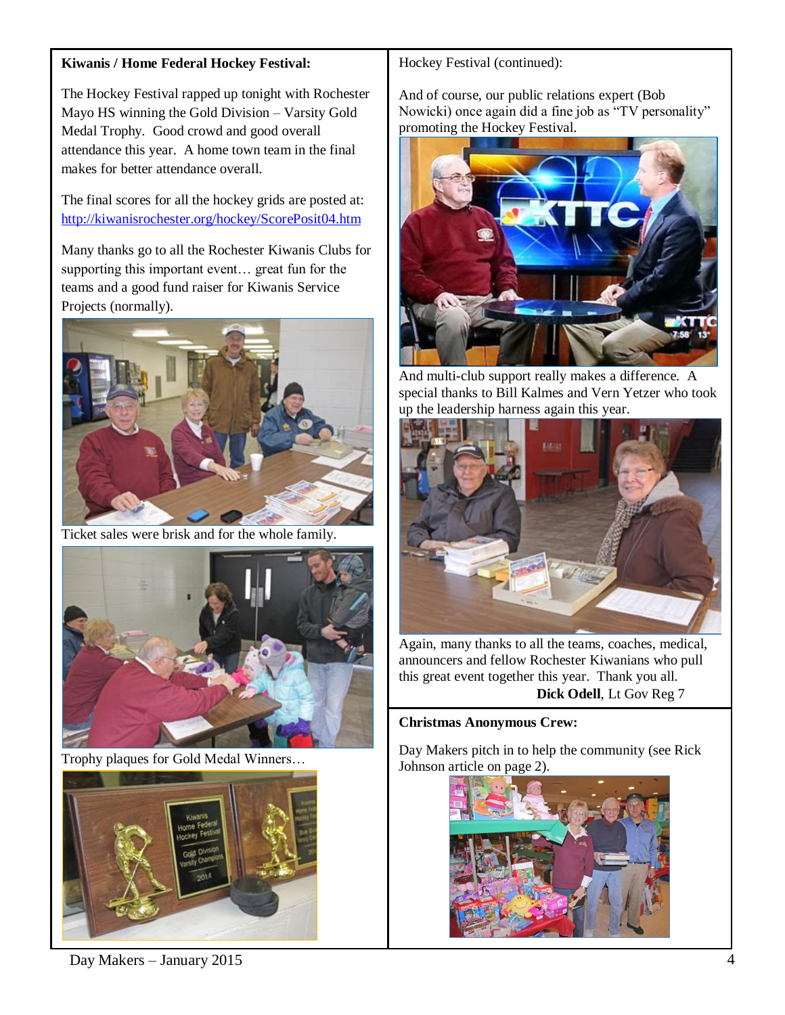## **Kiwanis / Home Federal Hockey Festival:**

The Hockey Festival rapped up tonight with Rochester Mayo HS winning the Gold Division – Varsity Gold Medal Trophy. Good crowd and good overall attendance this year. A home town team in the final makes for better attendance overall.

The final scores for all the hockey grids are posted at: <http://kiwanisrochester.org/hockey/ScorePosit04.htm>

Many thanks go to all the Rochester Kiwanis Clubs for supporting this important event… great fun for the teams and a good fund raiser for Kiwanis Service Projects (normally).



Ticket sales were brisk and for the whole family.



Trophy plaques for Gold Medal Winners…



Hockey Festival (continued):

And of course, our public relations expert (Bob Nowicki) once again did a fine job as "TV personality" promoting the Hockey Festival.



And multi-club support really makes a difference. A special thanks to Bill Kalmes and Vern Yetzer who took up the leadership harness again this year.



Again, many thanks to all the teams, coaches, medical, announcers and fellow Rochester Kiwanians who pull this great event together this year. Thank you all.  **Dick Odell**, Lt Gov Reg 7

#### **Christmas Anonymous Crew:**

Day Makers pitch in to help the community (see Rick Johnson article on page 2).



Day Makers – January 2015 4